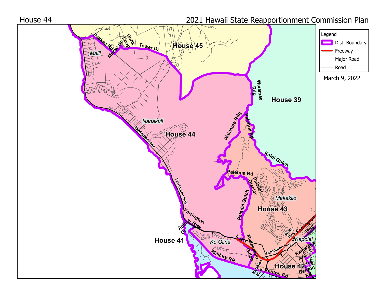